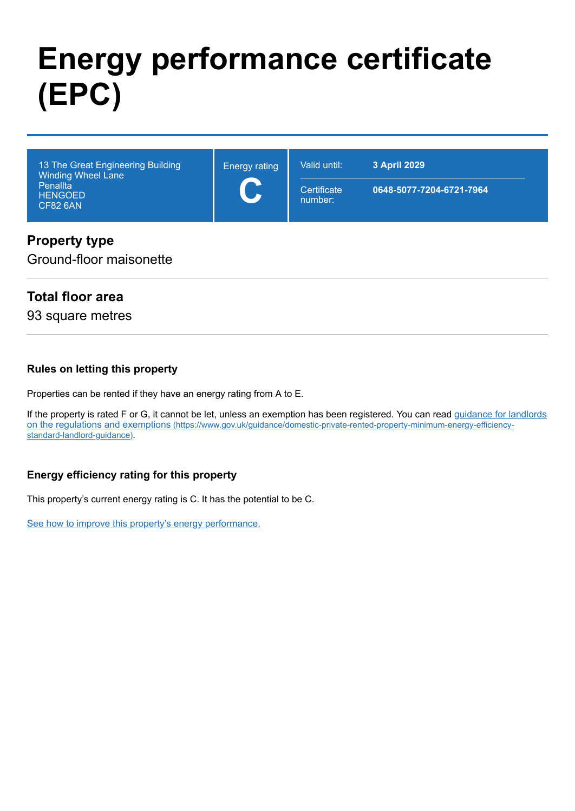# **Energy performance certificate (EPC)**

| 13 The Great Engineering Building<br>Winding Wheel Lane | <b>Energy rating</b><br>$\overline{\phantom{a}}$ | Valid until:           | 3 April 2029             |
|---------------------------------------------------------|--------------------------------------------------|------------------------|--------------------------|
| Penallta<br><b>HENGOED</b><br><b>CF82 6AN</b>           |                                                  | Certificate<br>number: | 0648-5077-7204-6721-7964 |

# **Property type**

Ground-floor maisonette

# **Total floor area**

93 square metres

#### **Rules on letting this property**

Properties can be rented if they have an energy rating from A to E.

[If the property is rated F or G, it cannot be let, unless an exemption has been registered. You can read guidance for landlords](https://www.gov.uk/guidance/domestic-private-rented-property-minimum-energy-efficiency-standard-landlord-guidance) on the regulations and exemptions (https://www.gov.uk/guidance/domestic-private-rented-property-minimum-energy-efficiencystandard-landlord-guidance).

#### **Energy efficiency rating for this property**

This property's current energy rating is C. It has the potential to be C.

[See how to improve this property's energy performance.](#page-3-0)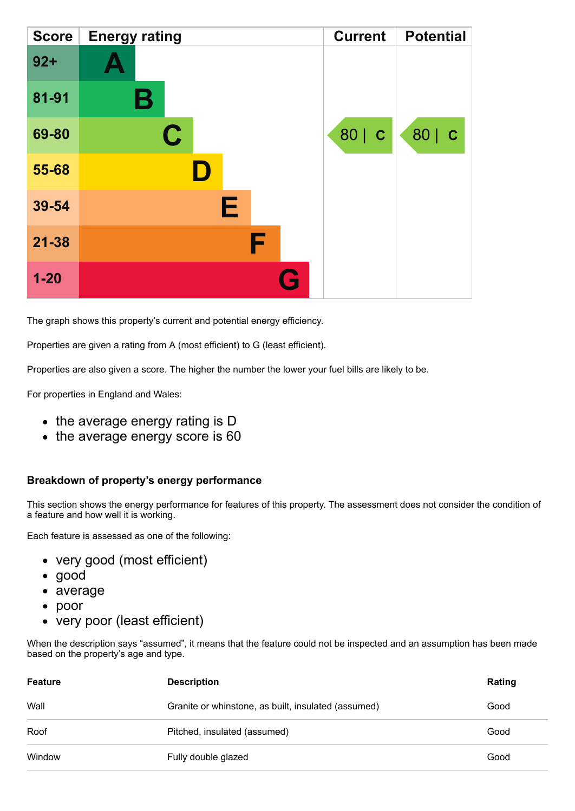| <b>Score</b> | <b>Energy rating</b> | <b>Current</b> | <b>Potential</b> |
|--------------|----------------------|----------------|------------------|
| $92 +$       |                      |                |                  |
| 81-91        | В                    |                |                  |
| 69-80        | C                    | 80   C         | 80   C           |
| 55-68        |                      |                |                  |
| 39-54        | Е                    |                |                  |
| $21 - 38$    | F                    |                |                  |
| $1 - 20$     | Q                    |                |                  |

The graph shows this property's current and potential energy efficiency.

Properties are given a rating from A (most efficient) to G (least efficient).

Properties are also given a score. The higher the number the lower your fuel bills are likely to be.

For properties in England and Wales:

- the average energy rating is D
- the average energy score is 60

#### **Breakdown of property's energy performance**

This section shows the energy performance for features of this property. The assessment does not consider the condition of a feature and how well it is working.

Each feature is assessed as one of the following:

- very good (most efficient)
- good
- average
- poor
- very poor (least efficient)

When the description says "assumed", it means that the feature could not be inspected and an assumption has been made based on the property's age and type.

| Feature | <b>Description</b>                                  | Rating |
|---------|-----------------------------------------------------|--------|
| Wall    | Granite or whinstone, as built, insulated (assumed) | Good   |
| Roof    | Pitched, insulated (assumed)                        | Good   |
| Window  | Fully double glazed                                 | Good   |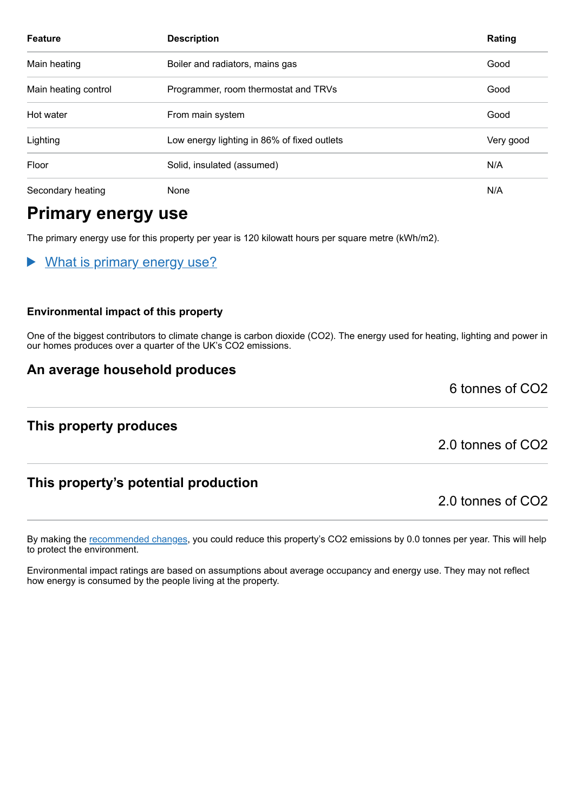| <b>Feature</b>       | <b>Description</b>                          | Rating    |
|----------------------|---------------------------------------------|-----------|
| Main heating         | Boiler and radiators, mains gas             | Good      |
| Main heating control | Programmer, room thermostat and TRVs        | Good      |
| Hot water            | From main system                            | Good      |
| Lighting             | Low energy lighting in 86% of fixed outlets | Very good |
| Floor                | Solid, insulated (assumed)                  | N/A       |
| Secondary heating    | None                                        | N/A       |

# **Primary energy use**

The primary energy use for this property per year is 120 kilowatt hours per square metre (kWh/m2).

What is primary energy use?

#### **Environmental impact of this property**

One of the biggest contributors to climate change is carbon dioxide (CO2). The energy used for heating, lighting and power in our homes produces over a quarter of the UK's CO2 emissions.

## **An average household produces**

# **This property produces**

2.0 tonnes of CO2

6 tonnes of CO2

# **This property's potential production**

2.0 tonnes of CO2

By making the [recommended changes,](#page-3-0) you could reduce this property's CO2 emissions by 0.0 tonnes per year. This will help to protect the environment.

Environmental impact ratings are based on assumptions about average occupancy and energy use. They may not reflect how energy is consumed by the people living at the property.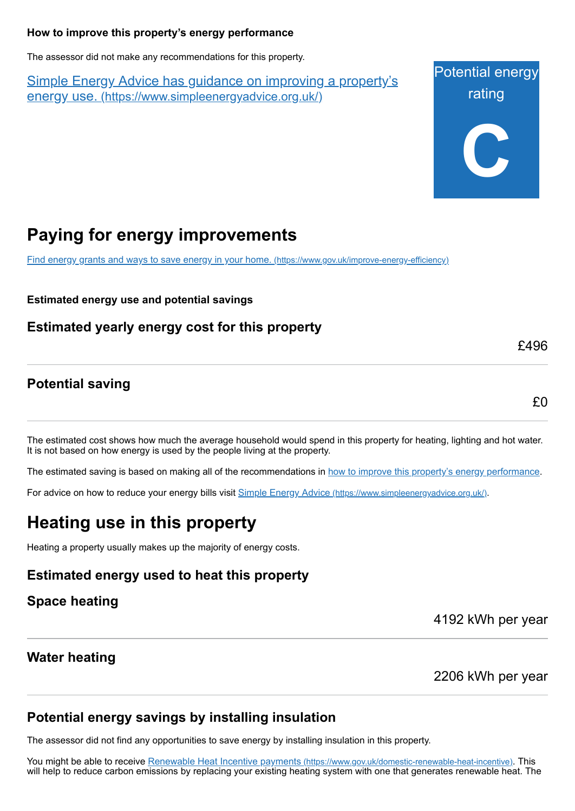#### <span id="page-3-0"></span>**How to improve this property's energy performance**

The assessor did not make any recommendations for this property.

Simple Energy Advice has guidance on improving a property's energy use. [\(https://www.simpleenergyadvice.org.uk/\)](https://www.simpleenergyadvice.org.uk/)

Potential energy rating **C**

# **Paying for energy improvements**

[Find energy grants and ways to save energy in your home.](https://www.gov.uk/improve-energy-efficiency) (https://www.gov.uk/improve-energy-efficiency)

**Estimated energy use and potential savings**

**Estimated yearly energy cost for this property**

# **Potential saving**

£0

£496

The estimated cost shows how much the average household would spend in this property for heating, lighting and hot water. It is not based on how energy is used by the people living at the property.

The estimated saving is based on making all of the recommendations in [how to improve this property's energy performance.](#page-3-0)

For advice on how to reduce your energy bills visit Simple Energy Advice [\(https://www.simpleenergyadvice.org.uk/\)](https://www.simpleenergyadvice.org.uk/).

# **Heating use in this property**

Heating a property usually makes up the majority of energy costs.

## **Estimated energy used to heat this property**

## **Space heating**

4192 kWh per year

## **Water heating**

2206 kWh per year

# **Potential energy savings by installing insulation**

The assessor did not find any opportunities to save energy by installing insulation in this property.

You might be able to receive Renewable Heat Incentive payments [\(https://www.gov.uk/domestic-renewable-heat-incentive\)](https://www.gov.uk/domestic-renewable-heat-incentive). This will help to reduce carbon emissions by replacing your existing heating system with one that generates renewable heat. The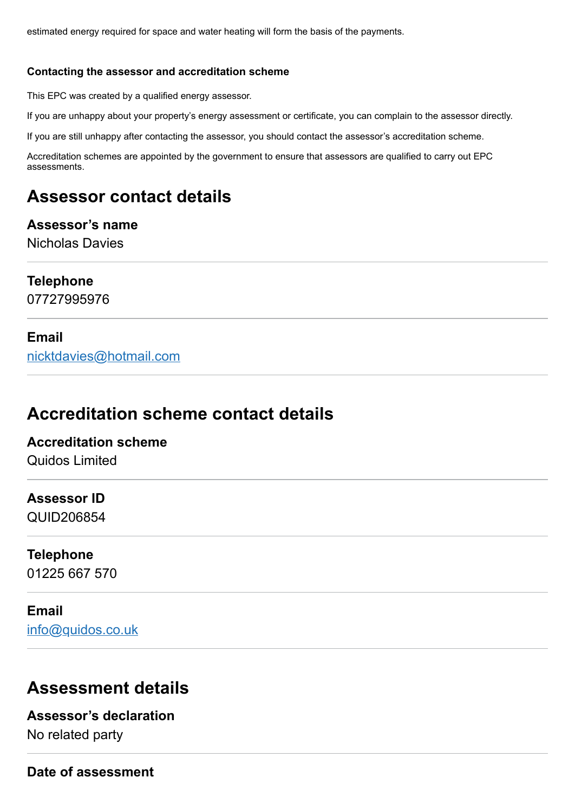estimated energy required for space and water heating will form the basis of the payments.

#### **Contacting the assessor and accreditation scheme**

This EPC was created by a qualified energy assessor.

If you are unhappy about your property's energy assessment or certificate, you can complain to the assessor directly.

If you are still unhappy after contacting the assessor, you should contact the assessor's accreditation scheme.

Accreditation schemes are appointed by the government to ensure that assessors are qualified to carry out EPC assessments.

# **Assessor contact details**

#### **Assessor's name** Nicholas Davies

## **Telephone**

07727995976

### **Email**

[nicktdavies@hotmail.com](mailto:nicktdavies@hotmail.com)

# **Accreditation scheme contact details**

# **Accreditation scheme** Quidos Limited

## **Assessor ID**

QUID206854

#### **Telephone**

01225 667 570

# **Email**

[info@quidos.co.uk](mailto:info@quidos.co.uk)

# **Assessment details**

# **Assessor's declaration** No related party

**Date of assessment**